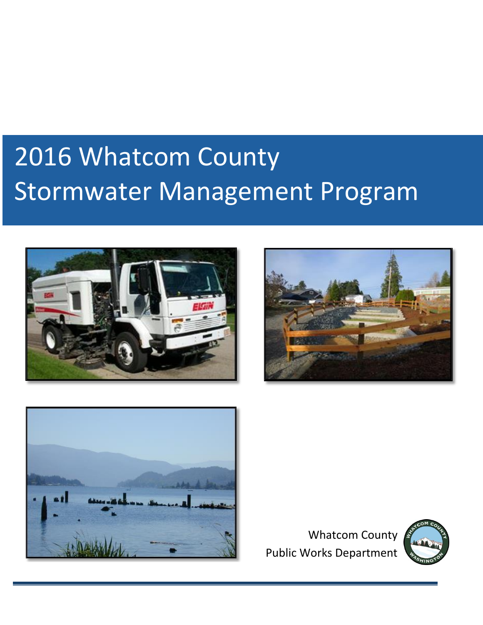# 2016 Whatcom County Stormwater Management Program







Whatcom County Public Works Department

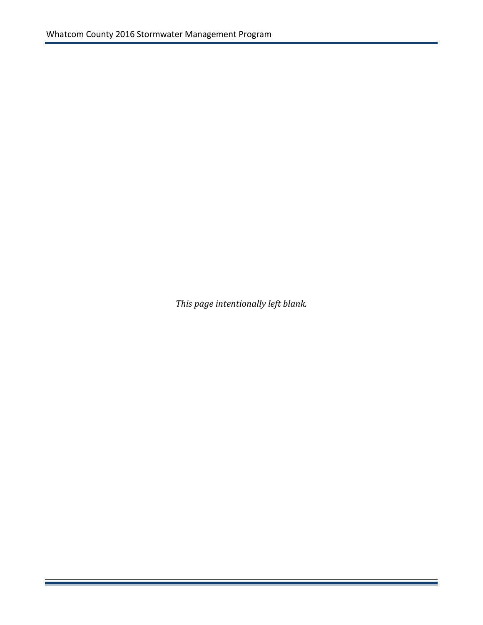*This page intentionally left blank.*

÷.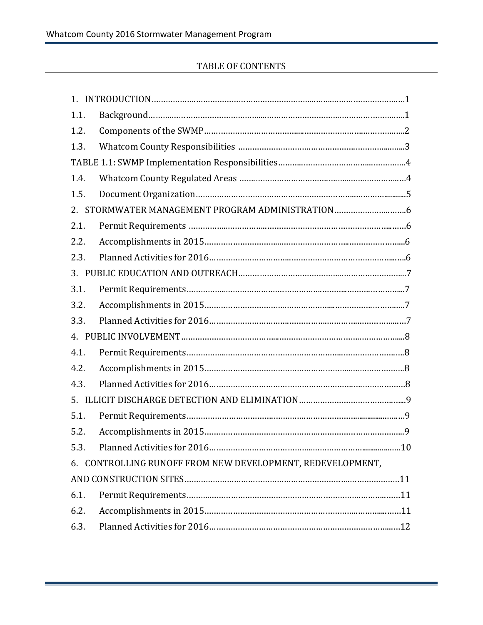## TABLE OF CONTENTS

| 1.1.                                                       |  |  |  |
|------------------------------------------------------------|--|--|--|
| 1.2.                                                       |  |  |  |
| 1.3.                                                       |  |  |  |
|                                                            |  |  |  |
| 1.4.                                                       |  |  |  |
| 1.5.                                                       |  |  |  |
| 2.                                                         |  |  |  |
| 2.1.                                                       |  |  |  |
| 2.2.                                                       |  |  |  |
| 2.3.                                                       |  |  |  |
| 3.                                                         |  |  |  |
| 3.1.                                                       |  |  |  |
| 3.2.                                                       |  |  |  |
| 3.3.                                                       |  |  |  |
| 4.                                                         |  |  |  |
| 4.1.                                                       |  |  |  |
| 4.2.                                                       |  |  |  |
| 4.3.                                                       |  |  |  |
| 5.                                                         |  |  |  |
| 5.1.                                                       |  |  |  |
| 5.2.                                                       |  |  |  |
| 5.3.                                                       |  |  |  |
| 6. CONTROLLING RUNOFF FROM NEW DEVELOPMENT, REDEVELOPMENT, |  |  |  |
|                                                            |  |  |  |
| 6.1.                                                       |  |  |  |
| 6.2.                                                       |  |  |  |
| 6.3.                                                       |  |  |  |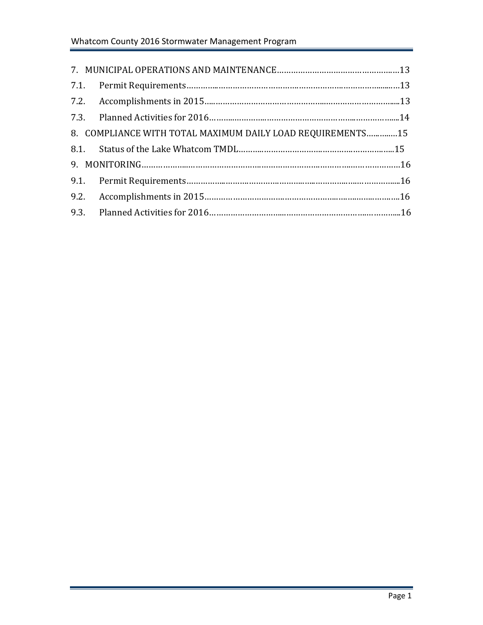# Whatcom County 2016 Stormwater Management Program

| 8. COMPLIANCE WITH TOTAL MAXIMUM DAILY LOAD REQUIREMENTS15 |  |  |  |
|------------------------------------------------------------|--|--|--|
|                                                            |  |  |  |
|                                                            |  |  |  |
|                                                            |  |  |  |
|                                                            |  |  |  |
|                                                            |  |  |  |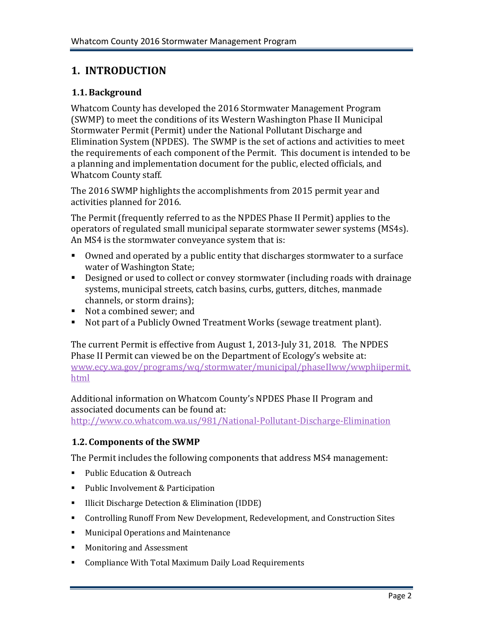# **1. INTRODUCTION**

## **1.1. Background**

Whatcom County has developed the 2016 Stormwater Management Program (SWMP) to meet the conditions of its Western Washington Phase II Municipal Stormwater Permit (Permit) under the National Pollutant Discharge and Elimination System (NPDES). The SWMP is the set of actions and activities to meet the requirements of each component of the Permit. This document is intended to be a planning and implementation document for the public, elected officials, and Whatcom County staff.

The 2016 SWMP highlights the accomplishments from 2015 permit year and activities planned for 2016.

The Permit (frequently referred to as the NPDES Phase II Permit) applies to the operators of regulated small municipal separate stormwater sewer systems (MS4s). An MS4 is the stormwater conveyance system that is:

- Owned and operated by a public entity that discharges stormwater to a surface water of Washington State;
- Designed or used to collect or convey stormwater (including roads with drainage systems, municipal streets, catch basins, curbs, gutters, ditches, manmade channels, or storm drains);
- Not a combined sewer; and
- Not part of a Publicly Owned Treatment Works (sewage treatment plant).

The current Permit is effective from August 1, 2013-July 31, 2018. The NPDES Phase II Permit can viewed be on the Department of Ecology's website at: [www.ecy.wa.gov/programs/wq/stormwater/municipal/phaseIIww/wwphiipermit.](http://www.ecy.wa.gov/programs/wq/stormwater/municipal/phaseIIww/wwphiipermit.html) [html](http://www.ecy.wa.gov/programs/wq/stormwater/municipal/phaseIIww/wwphiipermit.html)

Additional information on Whatcom County's NPDES Phase II Program and associated documents can be found at:

<http://www.co.whatcom.wa.us/981/National-Pollutant-Discharge-Elimination>

## **1.2. Components of the SWMP**

The Permit includes the following components that address MS4 management:

- Public Education & Outreach
- Public Involvement & Participation
- **Illicit Discharge Detection & Elimination (IDDE)**
- Controlling Runoff From New Development, Redevelopment, and Construction Sites
- **Municipal Operations and Maintenance**
- **Monitoring and Assessment**
- Compliance With Total Maximum Daily Load Requirements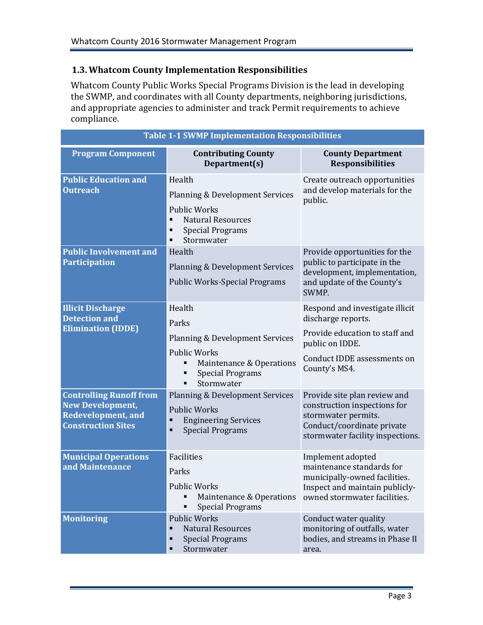## **1.3. Whatcom County Implementation Responsibilities**

Whatcom County Public Works Special Programs Division is the lead in developing the SWMP, and coordinates with all County departments, neighboring jurisdictions, and appropriate agencies to administer and track Permit requirements to achieve compliance.

| <b>Table 1-1 SWMP Implementation Responsibilities</b>                                                               |                                                                                                                                                                |                                                                                                                                                                   |  |  |  |
|---------------------------------------------------------------------------------------------------------------------|----------------------------------------------------------------------------------------------------------------------------------------------------------------|-------------------------------------------------------------------------------------------------------------------------------------------------------------------|--|--|--|
| <b>Program Component</b>                                                                                            | <b>Contributing County</b><br>Department(s)                                                                                                                    | <b>County Department</b><br><b>Responsibilities</b>                                                                                                               |  |  |  |
| <b>Public Education and</b><br><b>Outreach</b>                                                                      | Health<br><b>Planning &amp; Development Services</b><br><b>Public Works</b><br><b>Natural Resources</b><br><b>Special Programs</b><br>Stormwater               | Create outreach opportunities<br>and develop materials for the<br>public.                                                                                         |  |  |  |
| <b>Public Involvement and</b><br><b>Participation</b>                                                               | Health<br><b>Planning &amp; Development Services</b><br><b>Public Works-Special Programs</b>                                                                   | Provide opportunities for the<br>public to participate in the<br>development, implementation,<br>and update of the County's<br>SWMP.                              |  |  |  |
| <b>Illicit Discharge</b><br><b>Detection and</b><br><b>Elimination (IDDE)</b>                                       | Health<br>Parks<br><b>Planning &amp; Development Services</b><br><b>Public Works</b><br>Maintenance & Operations<br><b>Special Programs</b><br>٠<br>Stormwater | Respond and investigate illicit<br>discharge reports.<br>Provide education to staff and<br>public on IDDE.<br><b>Conduct IDDE</b> assessments on<br>County's MS4. |  |  |  |
| <b>Controlling Runoff from</b><br><b>New Development,</b><br><b>Redevelopment, and</b><br><b>Construction Sites</b> | <b>Planning &amp; Development Services</b><br><b>Public Works</b><br><b>Engineering Services</b><br><b>Special Programs</b><br>п                               | Provide site plan review and<br>construction inspections for<br>stormwater permits.<br>Conduct/coordinate private<br>stormwater facility inspections.             |  |  |  |
| <b>Municipal Operations</b><br>and Maintenance                                                                      | Facilities<br>Parks<br>Public Works<br>Maintenance & Operations<br><b>Special Programs</b>                                                                     | Implement adopted<br>maintenance standards for<br>municipally-owned facilities.<br>Inspect and maintain publicly-<br>owned stormwater facilities.                 |  |  |  |
| <b>Monitoring</b>                                                                                                   | <b>Public Works</b><br><b>Natural Resources</b><br>$\blacksquare$<br><b>Special Programs</b><br>п<br>Stormwater<br>п                                           | Conduct water quality<br>monitoring of outfalls, water<br>bodies, and streams in Phase II<br>area.                                                                |  |  |  |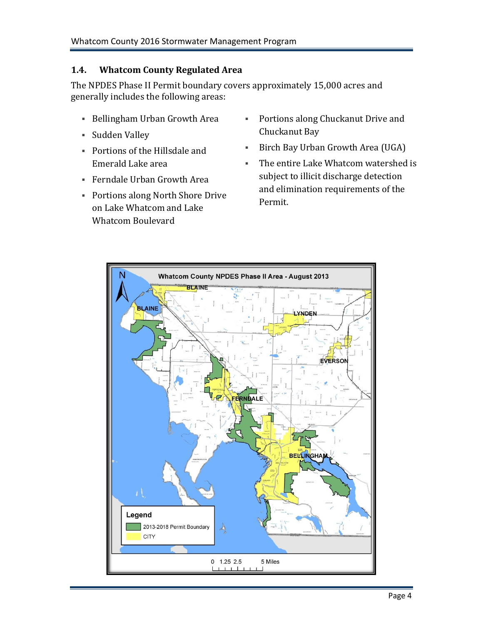#### **1.4. Whatcom County Regulated Area**

The NPDES Phase II Permit boundary covers approximately 15,000 acres and generally includes the following areas:

- Bellingham Urban Growth Area
- Sudden Valley
- Portions of the Hillsdale and Emerald Lake area
- Ferndale Urban Growth Area
- Portions along North Shore Drive on Lake Whatcom and Lake Whatcom Boulevard
- Portions along Chuckanut Drive and Chuckanut Bay
- Birch Bay Urban Growth Area (UGA)
- The entire Lake Whatcom watershed is subject to illicit discharge detection and elimination requirements of the Permit.

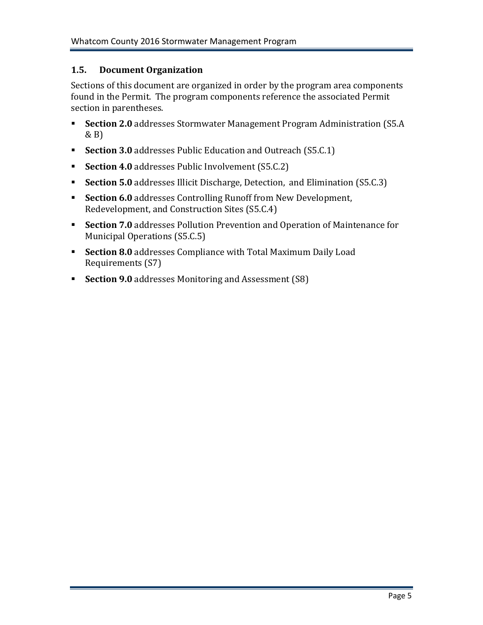## **1.5. Document Organization**

Sections of this document are organized in order by the program area components found in the Permit. The program components reference the associated Permit section in parentheses.

- **Section 2.0** addresses Stormwater Management Program Administration (S5.A & B)
- **Section 3.0** addresses Public Education and Outreach (S5.C.1)
- **Section 4.0** addresses Public Involvement (S5.C.2)
- **Section 5.0** addresses Illicit Discharge, Detection, and Elimination (S5.C.3)
- **Section 6.0** addresses Controlling Runoff from New Development, Redevelopment, and Construction Sites (S5.C.4)
- **Section 7.0** addresses Pollution Prevention and Operation of Maintenance for Municipal Operations (S5.C.5)
- **Section 8.0** addresses Compliance with Total Maximum Daily Load Requirements (S7)
- **Section 9.0** addresses Monitoring and Assessment (S8)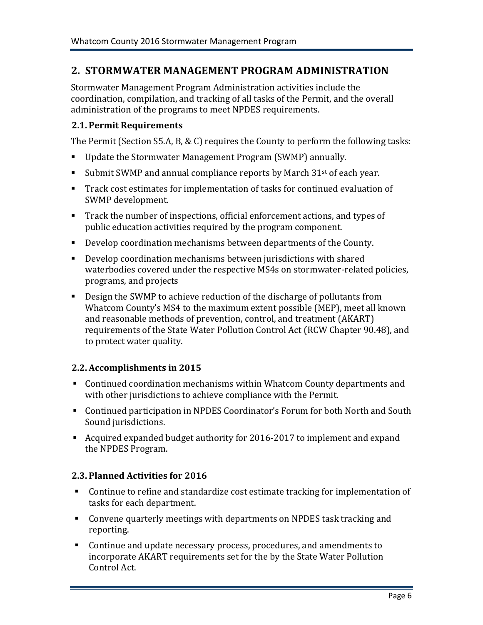## **2. STORMWATER MANAGEMENT PROGRAM ADMINISTRATION**

Stormwater Management Program Administration activities include the coordination, compilation, and tracking of all tasks of the Permit, and the overall administration of the programs to meet NPDES requirements.

#### **2.1. Permit Requirements**

The Permit (Section S5.A, B, & C) requires the County to perform the following tasks:

- Update the Stormwater Management Program (SWMP) annually.
- Submit SWMP and annual compliance reports by March  $31<sup>st</sup>$  of each year.
- Track cost estimates for implementation of tasks for continued evaluation of SWMP development.
- Track the number of inspections, official enforcement actions, and types of public education activities required by the program component.
- Develop coordination mechanisms between departments of the County.
- Develop coordination mechanisms between jurisdictions with shared waterbodies covered under the respective MS4s on stormwater-related policies, programs, and projects
- Design the SWMP to achieve reduction of the discharge of pollutants from Whatcom County's MS4 to the maximum extent possible (MEP), meet all known and reasonable methods of prevention, control, and treatment (AKART) requirements of the State Water Pollution Control Act (RCW Chapter 90.48), and to protect water quality.

## **2.2. Accomplishments in 2015**

- Continued coordination mechanisms within Whatcom County departments and with other jurisdictions to achieve compliance with the Permit.
- Continued participation in NPDES Coordinator's Forum for both North and South Sound jurisdictions.
- Acquired expanded budget authority for 2016-2017 to implement and expand the NPDES Program.

- Continue to refine and standardize cost estimate tracking for implementation of tasks for each department.
- Convene quarterly meetings with departments on NPDES task tracking and reporting.
- Continue and update necessary process, procedures, and amendments to incorporate AKART requirements set for the by the State Water Pollution Control Act.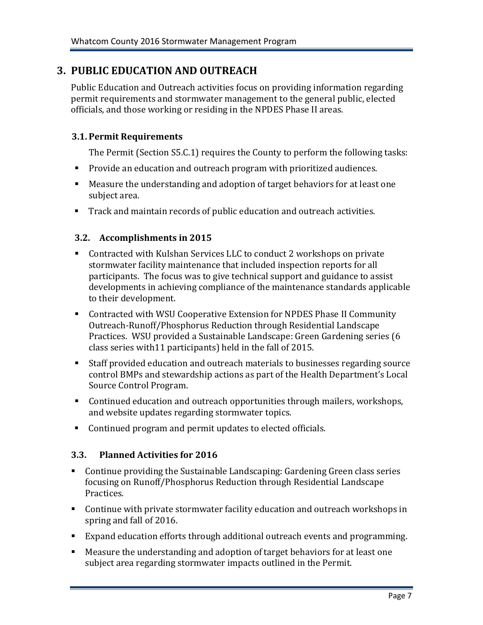# **3. PUBLIC EDUCATION AND OUTREACH**

Public Education and Outreach activities focus on providing information regarding permit requirements and stormwater management to the general public, elected officials, and those working or residing in the NPDES Phase II areas.

## **3.1. Permit Requirements**

The Permit (Section S5.C.1) requires the County to perform the following tasks:

- **Provide an education and outreach program with prioritized audiences.**
- Measure the understanding and adoption of target behaviors for at least one subject area.
- Track and maintain records of public education and outreach activities.

## **3.2. Accomplishments in 2015**

- Contracted with Kulshan Services LLC to conduct 2 workshops on private stormwater facility maintenance that included inspection reports for all participants. The focus was to give technical support and guidance to assist developments in achieving compliance of the maintenance standards applicable to their development.
- Contracted with WSU Cooperative Extension for NPDES Phase II Community Outreach-Runoff/Phosphorus Reduction through Residential Landscape Practices. WSU provided a Sustainable Landscape: Green Gardening series (6 class series with11 participants) held in the fall of 2015.
- Staff provided education and outreach materials to businesses regarding source control BMPs and stewardship actions as part of the Health Department's Local Source Control Program.
- Continued education and outreach opportunities through mailers, workshops, and website updates regarding stormwater topics.
- Continued program and permit updates to elected officials.

- Continue providing the Sustainable Landscaping: Gardening Green class series focusing on Runoff/Phosphorus Reduction through Residential Landscape Practices.
- Continue with private stormwater facility education and outreach workshops in spring and fall of 2016.
- Expand education efforts through additional outreach events and programming.
- Measure the understanding and adoption of target behaviors for at least one subject area regarding stormwater impacts outlined in the Permit.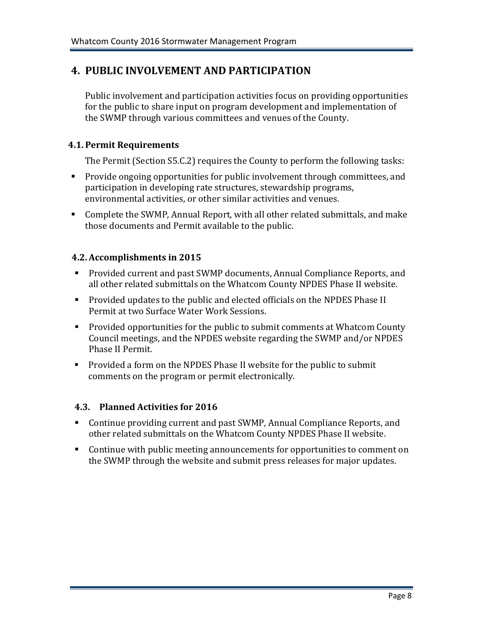# **4. PUBLIC INVOLVEMENT AND PARTICIPATION**

Public involvement and participation activities focus on providing opportunities for the public to share input on program development and implementation of the SWMP through various committees and venues of the County.

## **4.1. Permit Requirements**

The Permit (Section S5.C.2) requires the County to perform the following tasks:

- **Provide ongoing opportunities for public involvement through committees, and** participation in developing rate structures, stewardship programs, environmental activities, or other similar activities and venues.
- Complete the SWMP, Annual Report, with all other related submittals, and make those documents and Permit available to the public.

## **4.2. Accomplishments in 2015**

- **Provided current and past SWMP documents, Annual Compliance Reports, and** all other related submittals on the Whatcom County NPDES Phase II website.
- **Provided updates to the public and elected officials on the NPDES Phase II** Permit at two Surface Water Work Sessions.
- Provided opportunities for the public to submit comments at Whatcom County Council meetings, and the NPDES website regarding the SWMP and/or NPDES Phase II Permit.
- Provided a form on the NPDES Phase II website for the public to submit comments on the program or permit electronically.

- Continue providing current and past SWMP, Annual Compliance Reports, and other related submittals on the Whatcom County NPDES Phase II website.
- Continue with public meeting announcements for opportunities to comment on the SWMP through the website and submit press releases for major updates.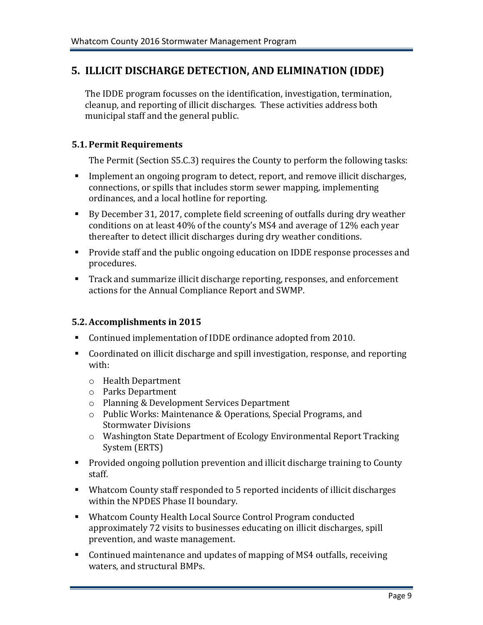# **5. ILLICIT DISCHARGE DETECTION, AND ELIMINATION (IDDE)**

The IDDE program focusses on the identification, investigation, termination, cleanup, and reporting of illicit discharges. These activities address both municipal staff and the general public.

## **5.1. Permit Requirements**

The Permit (Section S5.C.3) requires the County to perform the following tasks:

- Implement an ongoing program to detect, report, and remove illicit discharges, connections, or spills that includes storm sewer mapping, implementing ordinances, and a local hotline for reporting.
- By December 31, 2017, complete field screening of outfalls during dry weather conditions on at least 40% of the county's MS4 and average of 12% each year thereafter to detect illicit discharges during dry weather conditions.
- **Provide staff and the public ongoing education on IDDE response processes and** procedures.
- **Track and summarize illicit discharge reporting, responses, and enforcement** actions for the Annual Compliance Report and SWMP.

## **5.2. Accomplishments in 2015**

- Continued implementation of IDDE ordinance adopted from 2010.
- Coordinated on illicit discharge and spill investigation, response, and reporting with:
	- o Health Department
	- o Parks Department
	- o Planning & Development Services Department
	- o Public Works: Maintenance & Operations, Special Programs, and Stormwater Divisions
	- o Washington State Department of Ecology Environmental Report Tracking System (ERTS)
- **Provided ongoing pollution prevention and illicit discharge training to County** staff.
- Whatcom County staff responded to 5 reported incidents of illicit discharges within the NPDES Phase II boundary.
- Whatcom County Health Local Source Control Program conducted approximately 72 visits to businesses educating on illicit discharges, spill prevention, and waste management.
- Continued maintenance and updates of mapping of MS4 outfalls, receiving waters, and structural BMPs.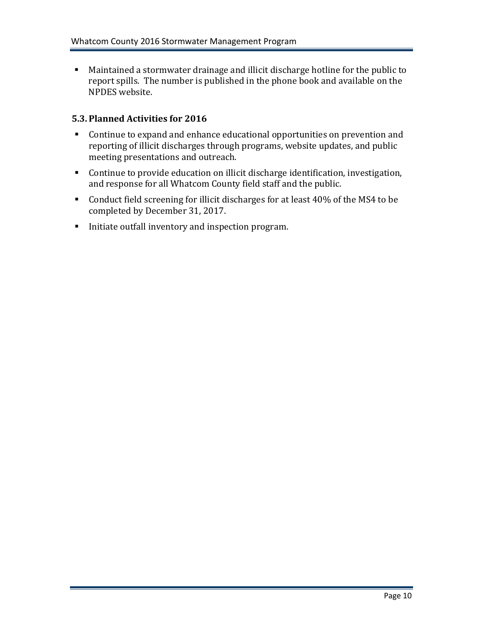Maintained a stormwater drainage and illicit discharge hotline for the public to report spills. The number is published in the phone book and available on the NPDES website.

- Continue to expand and enhance educational opportunities on prevention and reporting of illicit discharges through programs, website updates, and public meeting presentations and outreach.
- Continue to provide education on illicit discharge identification, investigation, and response for all Whatcom County field staff and the public.
- Conduct field screening for illicit discharges for at least 40% of the MS4 to be completed by December 31, 2017.
- Initiate outfall inventory and inspection program.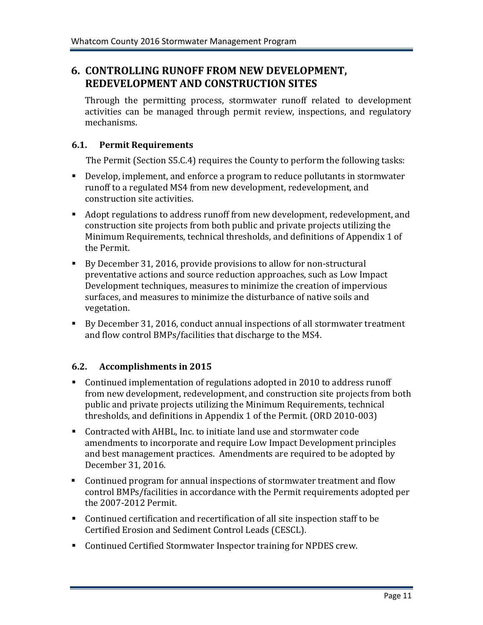## **6. CONTROLLING RUNOFF FROM NEW DEVELOPMENT, REDEVELOPMENT AND CONSTRUCTION SITES**

Through the permitting process, stormwater runoff related to development activities can be managed through permit review, inspections, and regulatory mechanisms.

#### **6.1. Permit Requirements**

The Permit (Section S5.C.4) requires the County to perform the following tasks:

- Develop, implement, and enforce a program to reduce pollutants in stormwater runoff to a regulated MS4 from new development, redevelopment, and construction site activities.
- Adopt regulations to address runoff from new development, redevelopment, and construction site projects from both public and private projects utilizing the Minimum Requirements, technical thresholds, and definitions of Appendix 1 of the Permit.
- By December 31, 2016, provide provisions to allow for non-structural preventative actions and source reduction approaches, such as Low Impact Development techniques, measures to minimize the creation of impervious surfaces, and measures to minimize the disturbance of native soils and vegetation.
- By December 31, 2016, conduct annual inspections of all stormwater treatment and flow control BMPs/facilities that discharge to the MS4.

## **6.2. Accomplishments in 2015**

- Continued implementation of regulations adopted in 2010 to address runoff from new development, redevelopment, and construction site projects from both public and private projects utilizing the Minimum Requirements, technical thresholds, and definitions in Appendix 1 of the Permit. (ORD 2010-003)
- Contracted with AHBL, Inc. to initiate land use and stormwater code amendments to incorporate and require Low Impact Development principles and best management practices. Amendments are required to be adopted by December 31, 2016.
- Continued program for annual inspections of stormwater treatment and flow control BMPs/facilities in accordance with the Permit requirements adopted per the 2007-2012 Permit.
- Continued certification and recertification of all site inspection staff to be Certified Erosion and Sediment Control Leads (CESCL).
- Continued Certified Stormwater Inspector training for NPDES crew.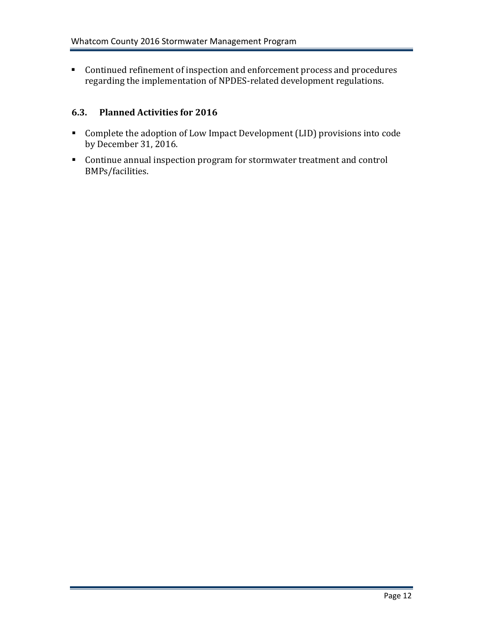Continued refinement of inspection and enforcement process and procedures regarding the implementation of NPDES-related development regulations.

- Complete the adoption of Low Impact Development (LID) provisions into code by December 31, 2016.
- Continue annual inspection program for stormwater treatment and control BMPs/facilities.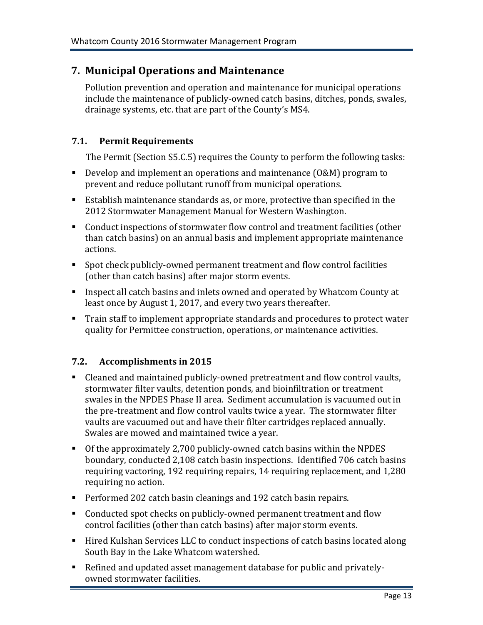## **7. Municipal Operations and Maintenance**

Pollution prevention and operation and maintenance for municipal operations include the maintenance of publicly-owned catch basins, ditches, ponds, swales, drainage systems, etc. that are part of the County's MS4.

## **7.1. Permit Requirements**

The Permit (Section S5.C.5) requires the County to perform the following tasks:

- Develop and implement an operations and maintenance (O&M) program to prevent and reduce pollutant runoff from municipal operations.
- Establish maintenance standards as, or more, protective than specified in the 2012 Stormwater Management Manual for Western Washington.
- Conduct inspections of stormwater flow control and treatment facilities (other than catch basins) on an annual basis and implement appropriate maintenance actions.
- Spot check publicly-owned permanent treatment and flow control facilities (other than catch basins) after major storm events.
- Inspect all catch basins and inlets owned and operated by Whatcom County at least once by August 1, 2017, and every two years thereafter.
- **Train staff to implement appropriate standards and procedures to protect water** quality for Permittee construction, operations, or maintenance activities.

## **7.2. Accomplishments in 2015**

- Cleaned and maintained publicly-owned pretreatment and flow control vaults, stormwater filter vaults, detention ponds, and bioinfiltration or treatment swales in the NPDES Phase II area. Sediment accumulation is vacuumed out in the pre-treatment and flow control vaults twice a year. The stormwater filter vaults are vacuumed out and have their filter cartridges replaced annually. Swales are mowed and maintained twice a year.
- Of the approximately 2,700 publicly-owned catch basins within the NPDES boundary, conducted 2,108 catch basin inspections. Identified 706 catch basins requiring vactoring, 192 requiring repairs, 14 requiring replacement, and 1,280 requiring no action.
- Performed 202 catch basin cleanings and 192 catch basin repairs.
- Conducted spot checks on publicly-owned permanent treatment and flow control facilities (other than catch basins) after major storm events.
- Hired Kulshan Services LLC to conduct inspections of catch basins located along South Bay in the Lake Whatcom watershed.
- Refined and updated asset management database for public and privatelyowned stormwater facilities.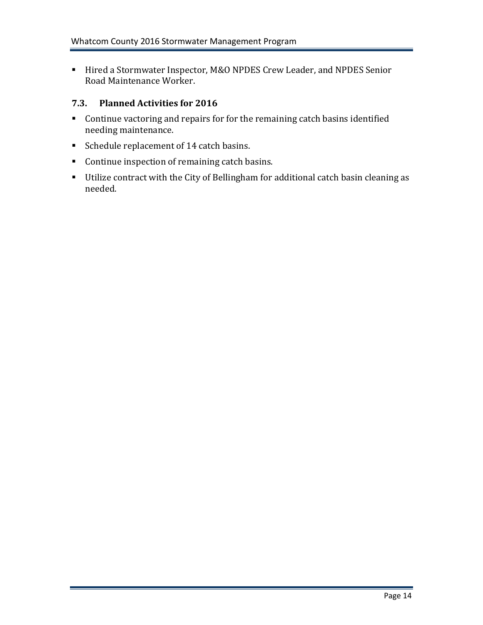■ Hired a Stormwater Inspector, M&O NPDES Crew Leader, and NPDES Senior Road Maintenance Worker.

- Continue vactoring and repairs for for the remaining catch basins identified needing maintenance.
- Schedule replacement of 14 catch basins.
- Continue inspection of remaining catch basins.
- Utilize contract with the City of Bellingham for additional catch basin cleaning as needed.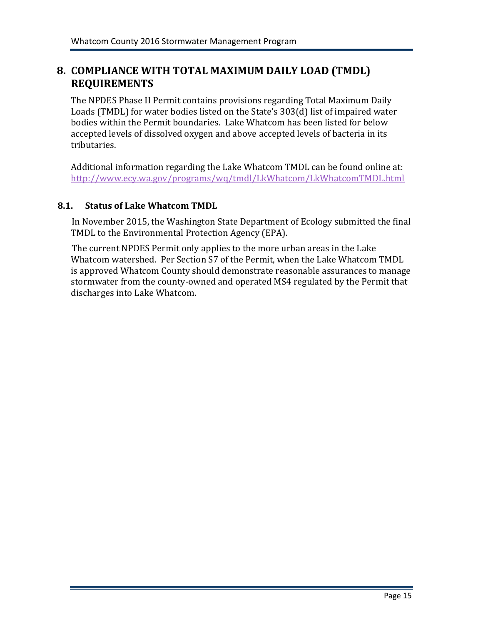## **8. COMPLIANCE WITH TOTAL MAXIMUM DAILY LOAD (TMDL) REQUIREMENTS**

The NPDES Phase II Permit contains provisions regarding Total Maximum Daily Loads (TMDL) for water bodies listed on the State's 303(d) list of impaired water bodies within the Permit boundaries. Lake Whatcom has been listed for below accepted levels of dissolved oxygen and above accepted levels of bacteria in its tributaries.

Additional information regarding the Lake Whatcom TMDL can be found online at: <http://www.ecy.wa.gov/programs/wq/tmdl/LkWhatcom/LkWhatcomTMDL.html>

#### **8.1. Status of Lake Whatcom TMDL**

In November 2015, the Washington State Department of Ecology submitted the final TMDL to the Environmental Protection Agency (EPA).

The current NPDES Permit only applies to the more urban areas in the Lake Whatcom watershed. Per Section S7 of the Permit, when the Lake Whatcom TMDL is approved Whatcom County should demonstrate reasonable assurances to manage stormwater from the county-owned and operated MS4 regulated by the Permit that discharges into Lake Whatcom.